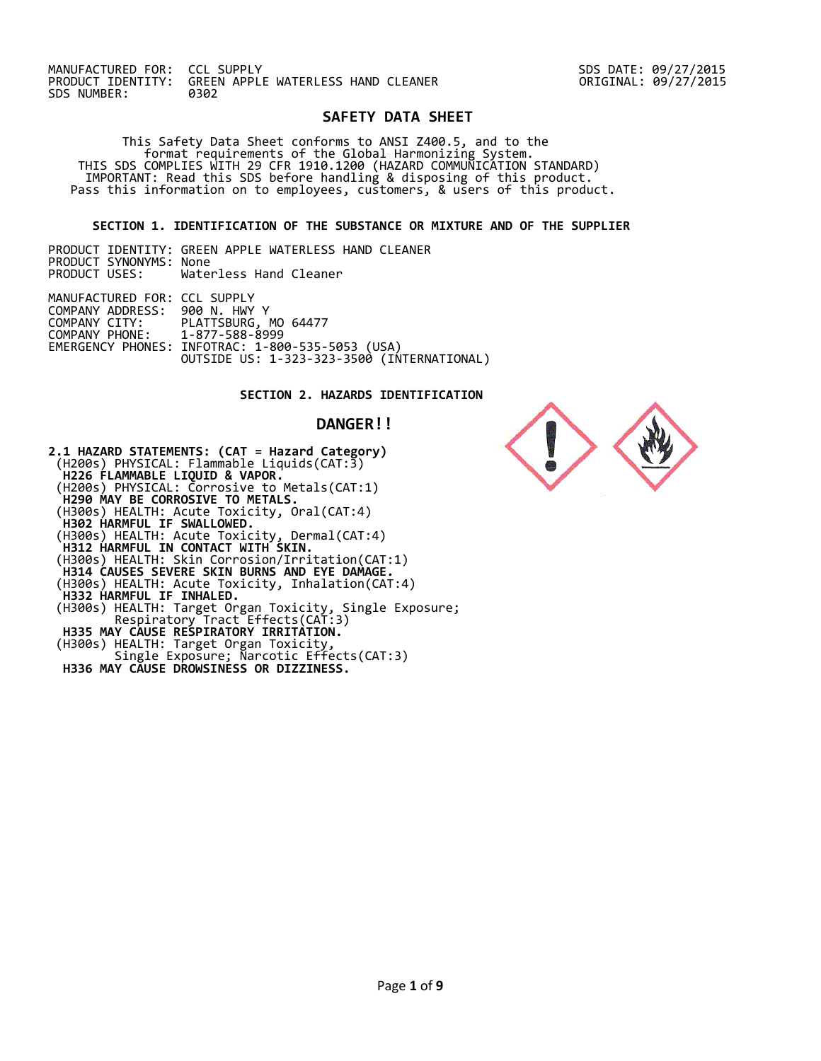MANUFACTURED FOR: CCL SUPPLY SDS DATE: 09/27/2015 **GREEN APPLE WATERLESS HAND CLEANER**<br>0302 SDS NUMBER:

## **SAFETY DATA SHEET**

 This Safety Data Sheet conforms to ANSI Z400.5, and to the format requirements of the Global Harmonizing System. THIS SDS COMPLIES WITH 29 CFR 1910.1200 (HAZARD COMMUNICATION STANDARD) IMPORTANT: Read this SDS before handling & disposing of this product. Pass this information on to employees, customers, & users of this product.

### **SECTION 1. IDENTIFICATION OF THE SUBSTANCE OR MIXTURE AND OF THE SUPPLIER**

 PRODUCT IDENTITY: GREEN APPLE WATERLESS HAND CLEANER PRODUCT SYNONYMS: None PRODUCT USES: Waterless Hand Cleaner 

MANUFACTURED FOR: CCL SUPPLY COMPANY ADDRESS: 900 N. HWY Y COMPANY CITY: PLATTSBURG, MO 64477<br>COMPANY PHONE: 1-877-588-8999 COMPANY PHONE: 1-877-588-8999 EMERGENCY PHONES: INFOTRAC: 1-800-535-5053 (USA) OUTSIDE US: 1-323-323-3500 (INTERNATIONAL)

# **SECTION 2. HAZARDS IDENTIFICATION**

 **DANGER!!** 

**2.1 HAZARD STATEMENTS: (CAT = Hazard Category)**  (H200s) PHYSICAL: Flammable Liquids(CAT:3)  **H226 FLAMMABLE LIQUID & VAPOR.**  (H200s) PHYSICAL: Corrosive to Metals(CAT:1)  **H290 MAY BE CORROSIVE TO METALS.**  (H300s) HEALTH: Acute Toxicity, Oral(CAT:4)  **H302 HARMFUL IF SWALLOWED.**  (H300s) HEALTH: Acute Toxicity, Dermal(CAT:4)  **H312 HARMFUL IN CONTACT WITH SKIN.**  (H300s) HEALTH: Skin Corrosion/Irritation(CAT:1)  **H314 CAUSES SEVERE SKIN BURNS AND EYE DAMAGE.**  (H300s) HEALTH: Acute Toxicity, Inhalation(CAT:4)  **H332 HARMFUL IF INHALED.**  (H300s) HEALTH: Target Organ Toxicity, Single Exposure; Respiratory Tract Effects(CAT:3)  **H335 MAY CAUSE RESPIRATORY IRRITATION.**  (H300s) HEALTH: Target Organ Toxicity, Single Exposure; Narcotic Effects(CAT:3)  **H336 MAY CAUSE DROWSINESS OR DIZZINESS.** 

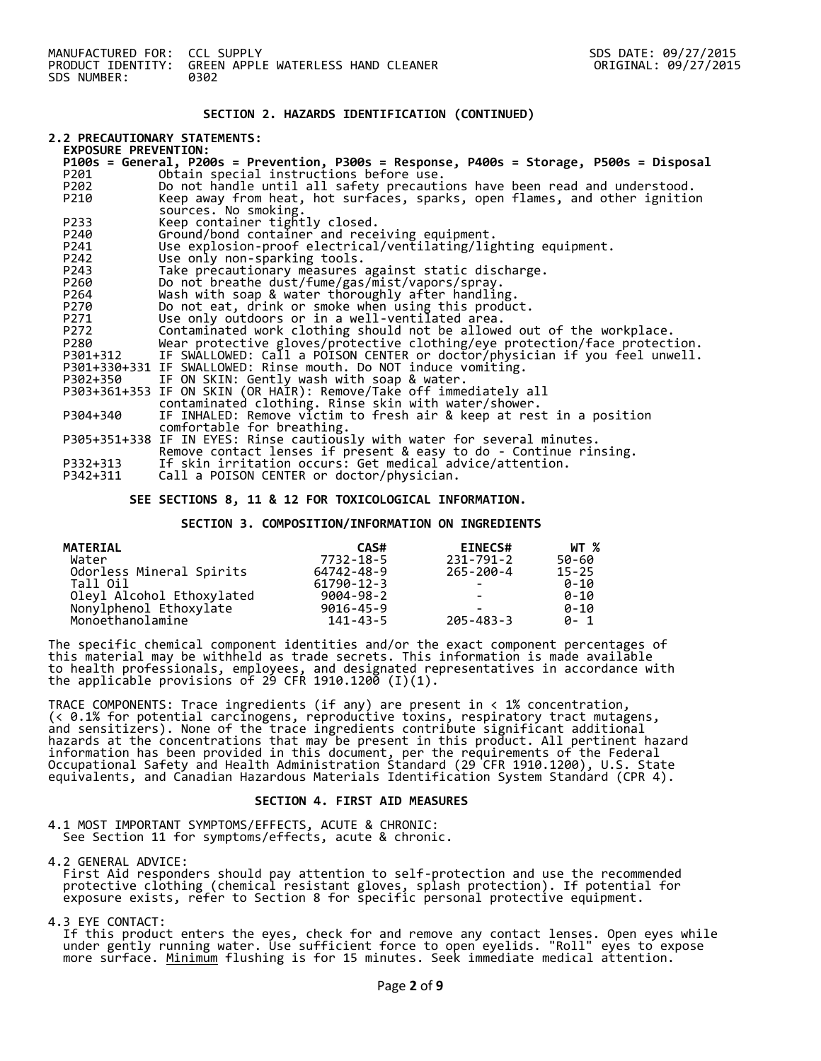### **SECTION 2. HAZARDS IDENTIFICATION (CONTINUED)**

# **2.2 PRECAUTIONARY STATEMENTS:**

| <b>EXPOSURE PREVENTION:</b> |                                                                                          |  |  |  |
|-----------------------------|------------------------------------------------------------------------------------------|--|--|--|
|                             | P100s = General, P200s = Prevention, P300s = Response, P400s = Storage, P500s = Disposal |  |  |  |
| P201                        | Obtain special instructions before use.                                                  |  |  |  |
| P202                        | Do not handle until all safety precautions have been read and understood.                |  |  |  |
| P210                        | Keep away from heat, hot surfaces, sparks, open flames, and other ignition               |  |  |  |
|                             | sources. No smoking.                                                                     |  |  |  |
| P233                        | Keep container tightly closed.                                                           |  |  |  |
| P240                        | Ground/bond container and receiving equipment.                                           |  |  |  |
| P241                        | Use explosion-proof electrical/ventilating/lighting equipment.                           |  |  |  |
| P242                        | Use only non-sparking tools.                                                             |  |  |  |
| P243                        | Take precautionary measures against static discharge.                                    |  |  |  |
| P260                        | Do not breathe dust/fume/gas/mist/vapors/spray.                                          |  |  |  |
| P264                        | Wash with soap & water thoroughly after handling.                                        |  |  |  |
| P270                        | Do not eat, drink or smoke when using this product.                                      |  |  |  |
| P271                        | Use only outdoors or in a well-ventilated area.                                          |  |  |  |
| P272                        | Contaminated work clothing should not be allowed out of the workplace.                   |  |  |  |
| P280                        | Wear protective gloves/protective clothing/eye protection/face protection.               |  |  |  |
| P301+312                    | IF SWALLOWED: Call a POISON CENTER or doctor/physician if you feel unwell.               |  |  |  |
|                             | P301+330+331 IF SWALLOWED: Rinse mouth. Do NOT induce vomiting.                          |  |  |  |
|                             | P302+350 IF ON SKIN: Gently wash with soap & water.                                      |  |  |  |
|                             | P303+361+353 IF ON SKIN (OR HAIR): Remove/Take off immediately all                       |  |  |  |
|                             | contaminated clothing. Rinse skin with water/shower.                                     |  |  |  |
| P304+340                    | IF INHALED: Remove victim to fresh air & keep at rest in a position                      |  |  |  |
|                             | comfortable for breathing.                                                               |  |  |  |
|                             | P305+351+338 IF IN EYES: Rinse cautiously with water for several minutes.                |  |  |  |
|                             | Remove contact lenses if present & easy to do - Continue rinsing.                        |  |  |  |
| P332+313                    | If skin irritation occurs: Get medical advice/attention.                                 |  |  |  |
| P342+311                    | Call a POISON CENTER or doctor/physician.                                                |  |  |  |

#### **SEE SECTIONS 8, 11 & 12 FOR TOXICOLOGICAL INFORMATION.**

#### **SECTION 3. COMPOSITION/INFORMATION ON INGREDIENTS**

| <b>MATERIAL</b>           | CAS#             | <b>EINECS#</b> | WT %      |
|---------------------------|------------------|----------------|-----------|
| Water                     | 7732-18-5        | 231-791-2      | 50-60     |
| Odorless Mineral Spirits  | 64742-48-9       | 265-200-4      | $15 - 25$ |
| Tall Oil                  | $61790 - 12 - 3$ |                | $A - 10$  |
| Oleyl Alcohol Ethoxylated | 9004-98-2        |                | $A - 10$  |
| Nonylphenol Ethoxylate    | $9016 - 45 - 9$  |                | $0 - 10$  |
| Monoethanolamine          | 141-43-5         | 205-483-3      | $0 - 1$   |

The specific chemical component identities and/or the exact component percentages of this material may be withheld as trade secrets. This information is made available to health professionals, employees, and designated representatives in accordance with the applicable provisions of 29 CFR 1910.1200  $\left(1\right)\left(1\right).$ 

TRACE COMPONENTS: Trace ingredients (if any) are present in < 1% concentration, (< 0.1% for potential carcinogens, reproductive toxins, respiratory tract mutagens, and sensitizers). None of the trace ingredients contribute significant additional hazards at the concentrations that may be present in this product. All pertinent hazard information has been provided in this document, per the requirements of the Federal Occupational Safety and Health Administration Standard (29 CFR 1910.1200), U.S. State equivalents, and Canadian Hazardous Materials Identification System Standard (CPR 4).

#### **SECTION 4. FIRST AID MEASURES**

4.1 MOST IMPORTANT SYMPTOMS/EFFECTS, ACUTE & CHRONIC: See Section 11 for symptoms/effects, acute & chronic.

4.2 GENERAL ADVICE:

 First Aid responders should pay attention to self-protection and use the recommended protective clothing (chemical resistant gloves, splash protection). If potential for exposure exists, refer to Section 8 for specific personal protective equipment.

4.3 EYE CONTACT:

 If this product enters the eyes, check for and remove any contact lenses. Open eyes while under gently running water. Use sufficient force to open eyelids. "Roll" eyes to expose more surface. <u>Minimum</u> flushing is for 15 minutes. Seek immediate medical attention.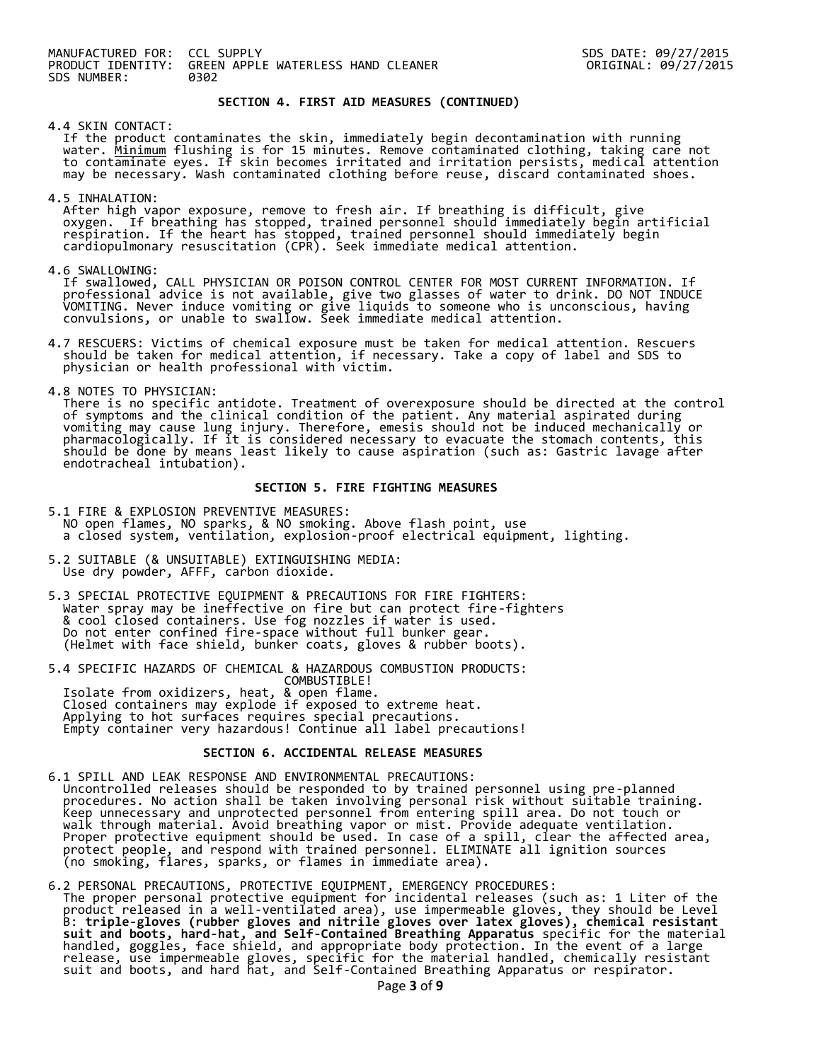#### **SECTION 4. FIRST AID MEASURES (CONTINUED)**

4.4 SKIN CONTACT:

 If the product contaminates the skin, immediately begin decontamination with running water. <u>Minimum</u> flushing is for 15 minutes. Remove contaminated clothing, taking care not to contaminate eyes. If skin becomes irritated and irritation persists, medical attention may be necessary. Wash contaminated clothing before reuse, discard contaminated shoes.

4.5 INHALATION:

 After high vapor exposure, remove to fresh air. If breathing is difficult, give oxygen. If breathing has stopped, trained personnel should immediately begin artificial respiration. If the heart has stopped, trained personnel should immediately begin cardiopulmonary resuscitation (CPR). Seek immediate medical attention.

4.6 SWALLOWING:

 If swallowed, CALL PHYSICIAN OR POISON CONTROL CENTER FOR MOST CURRENT INFORMATION. If professional advice is not available, give two glasses of water to drink. DO NOT INDUCE VOMITING. Never induce vomiting or give liquids to someone who is unconscious, having convulsions, or unable to swallow. Seek immediate medical attention.

- 4.7 RESCUERS: Victims of chemical exposure must be taken for medical attention. Rescuers should be taken for medical attention, if necessary. Take a copy of label and SDS to physician or health professional with victim.
- 4.8 NOTES TO PHYSICIAN:

 There is no specific antidote. Treatment of overexposure should be directed at the control of symptoms and the clinical condition of the patient. Any material aspirated during vomiting may cause lung injury. Therefore, emesis should not be induced mechanically or pharmacologically. If it is considered necessary to evacuate the stomach contents, this should be done by means least likely to cause aspiration (such as: Gastric lavage after endotracheal intubation).

#### **SECTION 5. FIRE FIGHTING MEASURES**

- 5.1 FIRE & EXPLOSION PREVENTIVE MEASURES: NO open flames, NO sparks, & NO smoking. Above flash point, use a closed system, ventilation, explosion-proof electrical equipment, lighting.
- 5.2 SUITABLE (& UNSUITABLE) EXTINGUISHING MEDIA: Use dry powder, AFFF, carbon dioxide.
- 5.3 SPECIAL PROTECTIVE EQUIPMENT & PRECAUTIONS FOR FIRE FIGHTERS: Water spray may be ineffective on fire but can protect fire-fighters & cool closed containers. Use fog nozzles if water is used. Do not enter confined fire-space without full bunker gear. (Helmet with face shield, bunker coats, gloves & rubber boots).
- 5.4 SPECIFIC HAZARDS OF CHEMICAL & HAZARDOUS COMBUSTION PRODUCTS: COMBUSTIBLE!

 Isolate from oxidizers, heat, & open flame. Closed containers may explode if exposed to extreme heat. Applying to hot surfaces requires special precautions. Empty container very hazardous! Continue all label precautions!

#### **SECTION 6. ACCIDENTAL RELEASE MEASURES**

- 6.1 SPILL AND LEAK RESPONSE AND ENVIRONMENTAL PRECAUTIONS: Uncontrolled releases should be responded to by trained personnel using pre-planned procedures. No action shall be taken involving personal risk without suitable training. Keep unnecessary and unprotected personnel from entering spill area. Do not touch or walk through material. Avoid breathing vapor or mist. Provide adequate ventilation. Proper protective equipment should be used. In case of a spill, clear the affected area, protect people, and respond with trained personnel. ELIMINATE all ignition sources (no smoking, flares, sparks, or flames in immediate area).
- 6.2 PERSONAL PRECAUTIONS, PROTECTIVE EQUIPMENT, EMERGENCY PROCEDURES: The proper personal protective equipment for incidental releases (such as: 1 Liter of the product released in a well-ventilated area), use impermeable gloves, they should be Level B: **triple-gloves (rubber gloves and nitrile gloves over latex gloves), chemical resistant suit and boots, hard-hat, and Self-Contained Breathing Apparatus** specific for the material handled, goggles, face shield, and appropriate body protection. In the event of a large release, use impermeable gloves, specific for the material handled, chemically resistant suit and boots, and hard hat, and Self-Contained Breathing Apparatus or respirator.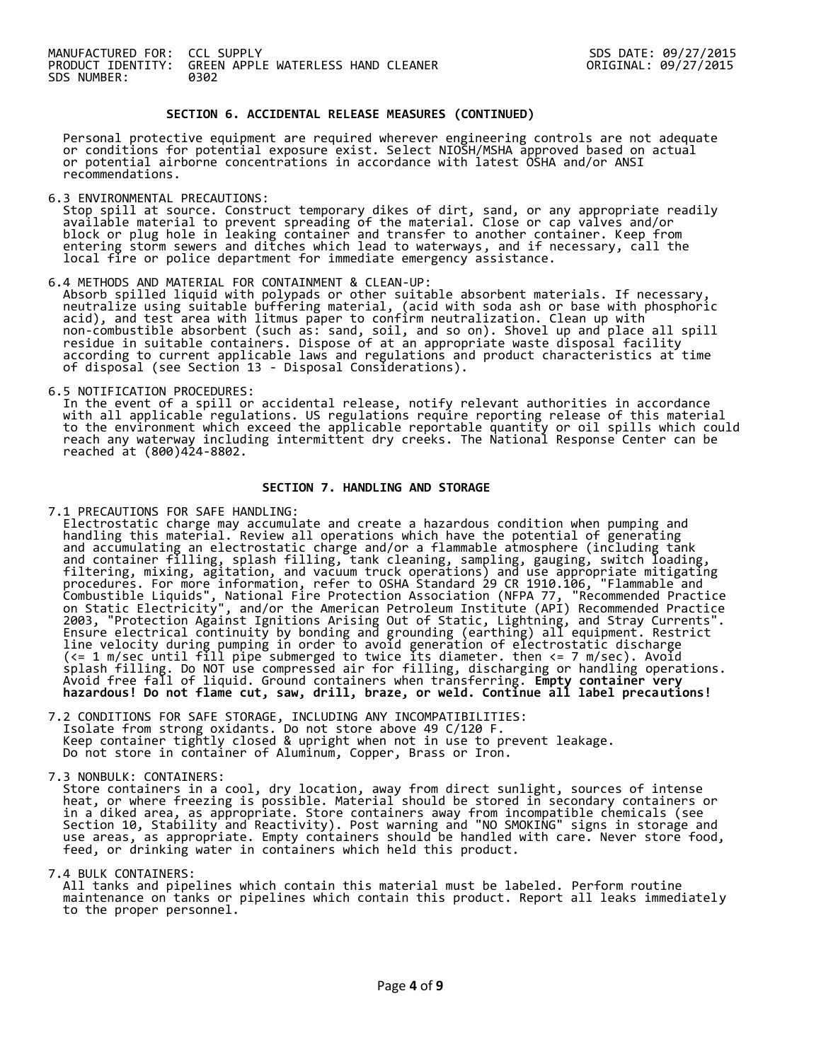### **SECTION 6. ACCIDENTAL RELEASE MEASURES (CONTINUED)**

 Personal protective equipment are required wherever engineering controls are not adequate or conditions for potential exposure exist. Select NIOSH/MSHA approved based on actual or potential airborne concentrations in accordance with latest OSHA and/or ANSI recommendations.

6.3 ENVIRONMENTAL PRECAUTIONS:

 Stop spill at source. Construct temporary dikes of dirt, sand, or any appropriate readily available material to prevent spreading of the material. Close or cap valves and/or block or plug hole in leaking container and transfer to another container. Keep from entering storm sewers and ditches which lead to waterways, and if necessary, call the local fire or police department for immediate emergency assistance.

6.4 METHODS AND MATERIAL FOR CONTAINMENT & CLEAN-UP:

 Absorb spilled liquid with polypads or other suitable absorbent materials. If necessary, neutralize using suitable buffering material, (acid with soda ash or base with phosphoric acid), and test area with litmus paper to confirm neutralization. Clean up with non-combustible absorbent (such as: sand, soil, and so on). Shovel up and place all spill residue in suitable containers. Dispose of at an appropriate waste disposal facility according to current applicable laws and regulations and product characteristics at time of disposal (see Section 13 - Disposal Considerations).

6.5 NOTIFICATION PROCEDURES:

 In the event of a spill or accidental release, notify relevant authorities in accordance with all applicable regulations. US regulations require reporting release of this material to the environment which exceed the applicable reportable quantity or oil spills which could reach any waterway including intermittent dry creeks. The National Response Center can be reached at (800)424-8802.

#### **SECTION 7. HANDLING AND STORAGE**

7.1 PRECAUTIONS FOR SAFE HANDLING:

 Electrostatic charge may accumulate and create a hazardous condition when pumping and handling this material. Review all operations which have the potential of generating and accumulating an electrostatic charge and/or a flammable atmosphere (including tank and container filling, splash filling, tank cleaning, sampling, gauging, switch loading, filtering, mixing, agitation, and vacuum truck operations) and use appropriate mitigating procedures. For more information, refer to OSHA Standard 29 CR 1910.106, "Flammable and Combustible Liquids", National Fire Protection Association (NFPA 77, "Recommended Practice on Static Electricity", and/or the American Petroleum Institute (API) Recommended Practice 2003, "Protection Against Ignitions Arising Out of Static, Lightning, and Stray Currents". Ensure electrical continuity by bonding and grounding (earthing) all equipment. Restrict line velocity during pumping in order to avoid generation of electrostatic discharge (<= 1 m/sec until fill pipe submerged to twice its diameter. then <= 7 m/sec). Avoid splash filling. Do NOT use compressed air for filling, discharging or handling operations. Avoid free fall of liquid. Ground containers when transferring. **Empty container very hazardous! Do not flame cut, saw, drill, braze, or weld. Continue all label precautions!**

7.2 CONDITIONS FOR SAFE STORAGE, INCLUDING ANY INCOMPATIBILITIES: Isolate from strong oxidants. Do not store above 49 C/120 F. Keep container tightly closed & upright when not in use to prevent leakage. Do not store in container of Aluminum, Copper, Brass or Iron.

7.3 NONBULK: CONTAINERS:

 Store containers in a cool, dry location, away from direct sunlight, sources of intense heat, or where freezing is possible. Material should be stored in secondary containers or in a diked area, as appropriate. Store containers away from incompatible chemicals (see Section 10, Stability and Reactivity). Post warning and "NO SMOKING" signs in storage and use areas, as appropriate. Empty containers should be handled with care. Never store food, feed, or drinking water in containers which held this product.

7.4 BULK CONTAINERS:

 All tanks and pipelines which contain this material must be labeled. Perform routine maintenance on tanks or pipelines which contain this product. Report all leaks immediately to the proper personnel.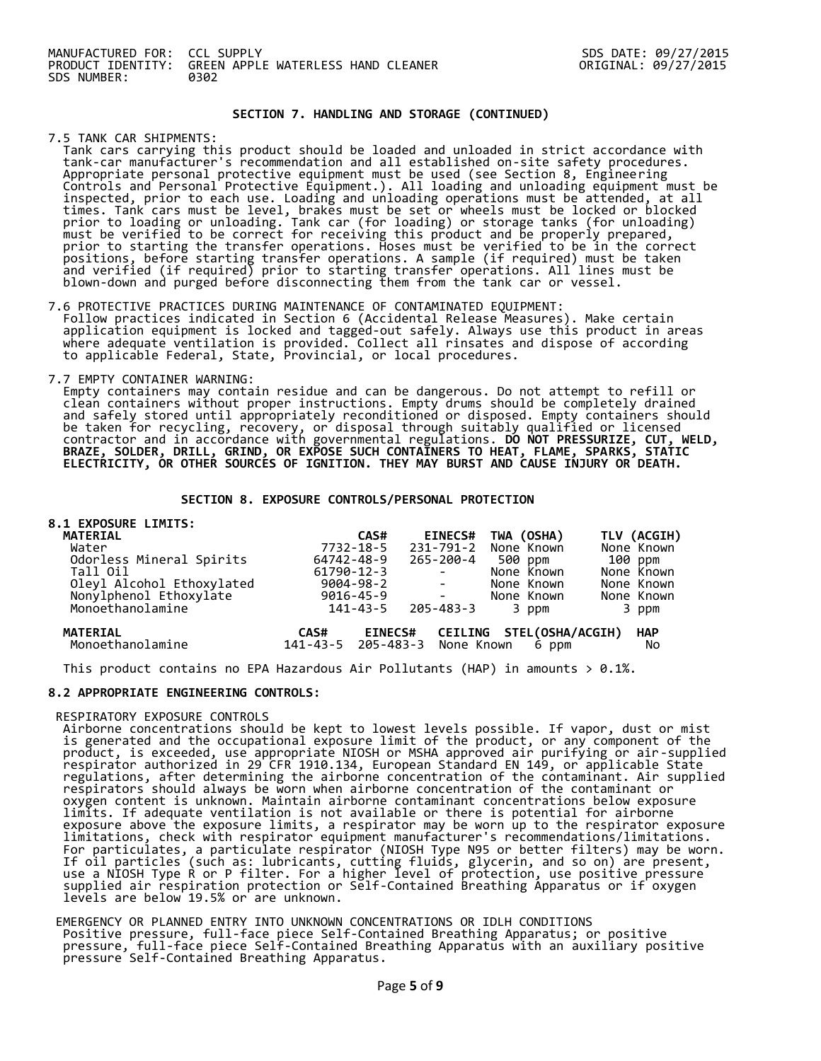### **SECTION 7. HANDLING AND STORAGE (CONTINUED)**

7.5 TANK CAR SHIPMENTS:

 Tank cars carrying this product should be loaded and unloaded in strict accordance with tank-car manufacturer's recommendation and all established on-site safety procedures. Appropriate personal protective equipment must be used (see Section 8, Engineering Controls and Personal Protective Equipment.). All loading and unloading equipment must be inspected, prior to each use. Loading and unloading operations must be attended, at all times. Tank cars must be level, brakes must be set or wheels must be locked or blocked prior to loading or unloading. Tank car (for loading) or storage tanks (for unloading) must be verified to be correct for receiving this product and be properly prepared, prior to starting the transfer operations. Hoses must be verified to be in the correct positions, before starting transfer operations. A sample (if required) must be taken and verified (if required) prior to starting transfer operations. All lines must be blown-down and purged before disconnecting them from the tank car or vessel.

#### 7.6 PROTECTIVE PRACTICES DURING MAINTENANCE OF CONTAMINATED EQUIPMENT:

 Follow practices indicated in Section 6 (Accidental Release Measures). Make certain application equipment is locked and tagged-out safely. Always use this product in areas where adequate ventilation is provided. Collect all rinsates and dispose of according to applicable Federal, State, Provincial, or local procedures.

### 7.7 EMPTY CONTAINER WARNING:

 Empty containers may contain residue and can be dangerous. Do not attempt to refill or clean containers without proper instructions. Empty drums should be completely drained and safely stored until appropriately reconditioned or disposed. Empty containers should be taken for recycling, recovery, or disposal through suitably qualified or licensed contractor and in accordance with governmental regulations. **DO NOT PRESSURIZE, CUT, WELD, BRAZE, SOLDER, DRILL, GRIND, OR EXPOSE SUCH CONTAINERS TO HEAT, FLAME, SPARKS, STATIC ELECTRICITY, OR OTHER SOURCES OF IGNITION. THEY MAY BURST AND CAUSE INJURY OR DEATH.**

### **SECTION 8. EXPOSURE CONTROLS/PERSONAL PROTECTION**

#### **8.1 EXPOSURE LIMITS:**

| <b>MATERIAL</b>                                                         |                               | CAS#            |                            | <b>EINECS#</b>  | TWA (OSHA)               |         | TLV (ACGIH) |
|-------------------------------------------------------------------------|-------------------------------|-----------------|----------------------------|-----------------|--------------------------|---------|-------------|
| Water                                                                   |                               | 7732-18-5       |                            | 231-791-2       | None Known               |         | None Known  |
| Odorless Mineral Spirits                                                | 64742-48-9                    |                 |                            | 265-200-4       | 500 ppm                  | 100 ppm |             |
| Tall Oil                                                                | 61790-12-3                    |                 |                            |                 | None Known               |         | None Known  |
|                                                                         |                               | 9004-98-2       | <b>Contract Contract</b>   |                 | None Known               |         | None Known  |
|                                                                         |                               | $9016 - 45 - 9$ | and the state of the state |                 | None Known               |         | None Known  |
| Oleyl Alcohol Ethoxylated<br>Nonylphenol Ethoxylate<br>Monoethanolamine |                               | 141-43-5        |                            | $205 - 483 - 3$ | 3 ppm                    |         | 3 ppm       |
| <b>MATERIAL</b>                                                         | CAS#                          | <b>EINECS#</b>  |                            |                 | CEILING STEL(OSHA/ACGIH) |         | <b>HAP</b>  |
| Monoethanolamine                                                        | 141-43-5 205-483-3 None Known |                 |                            |                 | 6 ppm                    |         | No          |

This product contains no EPA Hazardous Air Pollutants (HAP) in amounts  $> 0.1\%$ .

### **8.2 APPROPRIATE ENGINEERING CONTROLS:**

RESPIRATORY EXPOSURE CONTROLS

 Airborne concentrations should be kept to lowest levels possible. If vapor, dust or mist is generated and the occupational exposure limit of the product, or any component of the product, is exceeded, use appropriate NIOSH or MSHA approved air purifying or air-supplied respirator authorized in 29 CFR 1910.134, European Standard EN 149, or applicable State regulations, after determining the airborne concentration of the contaminant. Air supplied respirators should always be worn when airborne concentration of the contaminant or oxygen content is unknown. Maintain airborne contaminant concentrations below exposure limits. If adequate ventilation is not available or there is potential for airborne exposure above the exposure limits, a respirator may be worn up to the respirator exposure limitations, check with respirator equipment manufacturer's recommendations/limitations. For particulates, a particulate respirator (NIOSH Type N95 or better filters) may be worn. If oil particles (such as: lubricants, cutting fluids, glycerin, and so on) are present, use a NIOSH Type R or P filter. For a higher level of protection, use positive pressure supplied air respiration protection or Self-Contained Breathing Apparatus or if oxygen levels are below 19.5% or are unknown.

EMERGENCY OR PLANNED ENTRY INTO UNKNOWN CONCENTRATIONS OR IDLH CONDITIONS Positive pressure, full-face piece Self-Contained Breathing Apparatus; or positive pressure, full-face piece Self-Contained Breathing Apparatus with an auxiliary positive pressure Self-Contained Breathing Apparatus.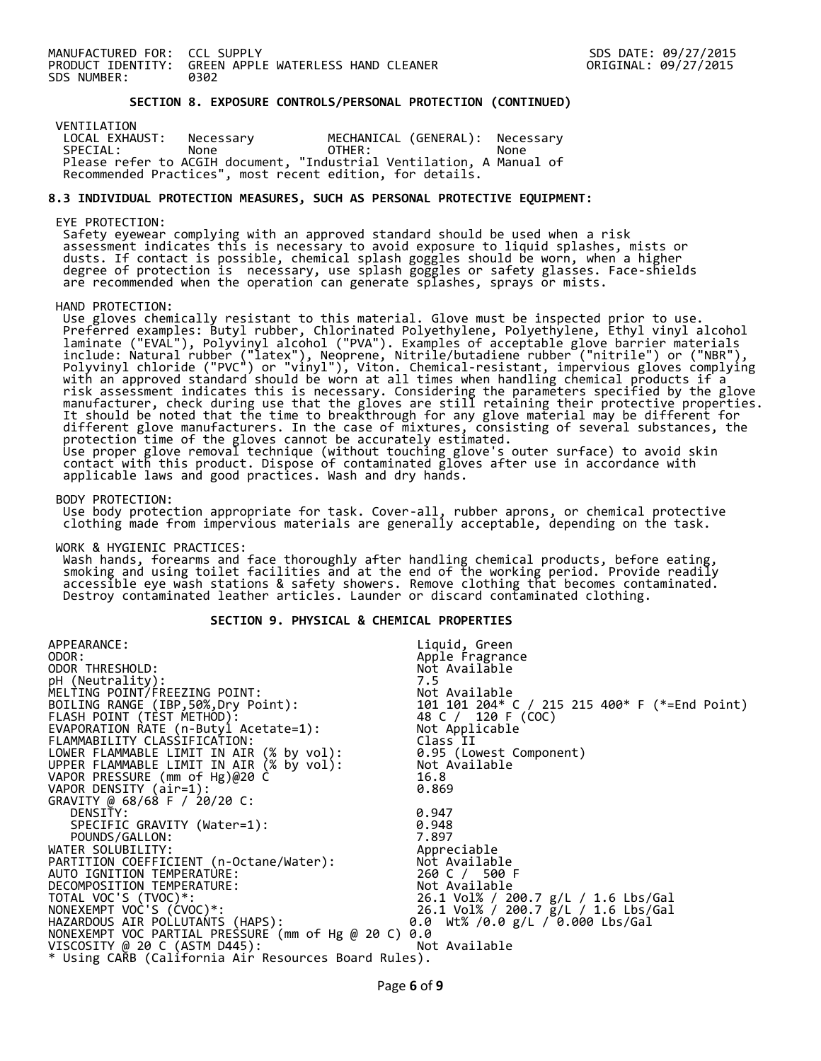#### **SECTION 8. EXPOSURE CONTROLS/PERSONAL PROTECTION (CONTINUED)**

VENTILATION<br>LOCAL EXHAUST: LOCAL EXHAUST: Necessary MECHANICAL (GENERAL): Necessary SPECIAL: None OTHER: None Please refer to ACGIH document, "Industrial Ventilation, A Manual of Recommended Practices", most recent edition, for details.

#### **8.3 INDIVIDUAL PROTECTION MEASURES, SUCH AS PERSONAL PROTECTIVE EQUIPMENT:**

EYE PROTECTION:

 Safety eyewear complying with an approved standard should be used when a risk assessment indicates this is necessary to avoid exposure to liquid splashes, mists or dusts. If contact is possible, chemical splash goggles should be worn, when a higher degree of protection is necessary, use splash goggles or safety glasses. Face-shields are recommended when the operation can generate splashes, sprays or mists.

HAND PROTECTION:

 Use gloves chemically resistant to this material. Glove must be inspected prior to use. Preferred examples: Butyl rubber, Chlorinated Polyethylene, Polyethylene, Ethyl vinyl alcohol laminate ("EVAL"), Polyvinyl alcohol ("PVA"). Examples of acceptable glove barrier materials include: Natural rubber ("latex"), Neoprene, Nitrile/butadiene rubber ("nitrile") or ("NBR"), Polyvinyl chloride ("PVC") or "vinyl"), Viton. Chemical-resistant, impervious gloves complying with an approved standard should be worn at all times when handling chemical products if a risk assessment indicates this is necessary. Considering the parameters specified by the glove manufacturer, check during use that the gloves are still retaining their protective properties. It should be noted that the time to breakthrough for any glove material may be different for different glove manufacturers. In the case of mixtures, consisting of several substances, the protection time of the gloves cannot be accurately estimated. Use proper glove removal technique (without touching glove's outer surface) to avoid skin contact with this product. Dispose of contaminated gloves after use in accordance with applicable laws and good practices. Wash and dry hands.

BODY PROTECTION:

 Use body protection appropriate for task. Cover-all, rubber aprons, or chemical protective clothing made from impervious materials are generally acceptable, depending on the task.

WORK & HYGIENIC PRACTICES:

 Wash hands, forearms and face thoroughly after handling chemical products, before eating, smoking and using toilet facilities and at the end of the working period. Provide readily accessible eye wash stations & safety showers. Remove clothing that becomes contaminated. Destroy contaminated leather articles. Launder or discard contaminated clothing.

#### **SECTION 9. PHYSICAL & CHEMICAL PROPERTIES**

| APPEARANCE:                                          | Liquid, Green                                                                            |
|------------------------------------------------------|------------------------------------------------------------------------------------------|
| ODOR:                                                | Apple Fragrance                                                                          |
| ODOR THRESHOLD:                                      | Not Available                                                                            |
| pH (Neutrality):                                     | 7.5                                                                                      |
| MELTING POINT/FREEZING POINT:                        |                                                                                          |
| BOILING RANGE (IBP, 50%, Dry Point):                 |                                                                                          |
| FLASH POINT (TÈST METHOD):                           | Not Available<br>101  101  204* C / 215  215  400* F (*=End Point)<br>48 C / 120 F (COC) |
| EVAPORATION RATE (n-Butyl Acetate=1):                | Not Applicable                                                                           |
| FLAMMABILITY CLASSIFICATION:                         | Class II                                                                                 |
| LOWER FLAMMABLE LIMIT IN AIR (% by vol):             | 0.95 (Lowest Component)                                                                  |
| UPPER FLAMMABLE LIMIT IN AIR (% by vol):             | Not Available                                                                            |
| VAPOR PRESSURE (mm of Hg)@20 C                       | 16.8                                                                                     |
| VAPOR DENSITY (air=1):                               | 0.869                                                                                    |
| GRAVITY @ 68/68 F / 20/20 C:                         |                                                                                          |
| DENSITY:                                             | 0.947                                                                                    |
| SPECIFIC GRAVITY (Water=1):                          | 0.948                                                                                    |
| POUNDS/GALLON:                                       | 7.897                                                                                    |
| WATER SOLUBILITY:                                    | Appreciable                                                                              |
| PARTITION COEFFICIENT (n-Octane/Water):              | Not Available                                                                            |
| AUTO IGNITION TEMPERATURE:                           | 260 C / 500 F                                                                            |
| DECOMPOSITION TEMPERATURE:                           | Not Available                                                                            |
| TOTAL VOC'S (TVOC)*:                                 | 26.1 Vol% / 200.7 g/L / 1.6 Lbs/Gal                                                      |
| NONEXEMPT VOC'S (CVOC)*:                             | 26.1 Vol% / 200.7 ğ/L / 1.6 Lbs/Gal                                                      |
| HAZARDOUS AIR POLLUTANTS (HAPS):                     | 0.0 Wt% /0.0 $g/L$ / 0.000 Lbs/Gal                                                       |
| NONEXEMPT VOC PARTIAL PRESSURE (mm of Hg @ 20 C) 0.0 |                                                                                          |
| VISCOSITY @ 20 C (ASTM D445):                        | Not Available                                                                            |
| * Using CARB (California Air Resources Board Rules). |                                                                                          |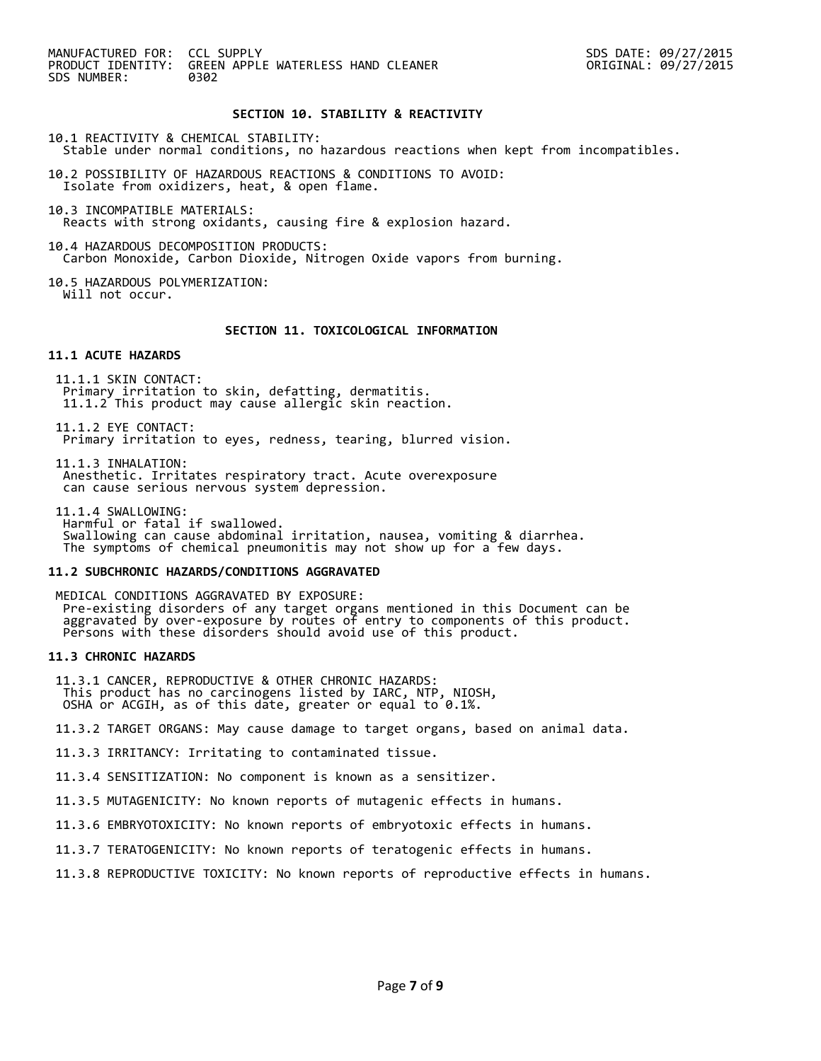MANUFACTURED FOR: CCL SUPPLY SDS DATE: 09/27/2015 PRODUCT IDENTITY: GREEN APPLE WATERLESS HAND CLEANER<br>SDS NUMBER: 0992 SDS NUMBER:

### **SECTION 10. STABILITY & REACTIVITY**

10.1 REACTIVITY & CHEMICAL STABILITY:

- Stable under normal conditions, no hazardous reactions when kept from incompatibles.
- 10.2 POSSIBILITY OF HAZARDOUS REACTIONS & CONDITIONS TO AVOID: Isolate from oxidizers, heat, & open flame.
- 10.3 INCOMPATIBLE MATERIALS: Reacts with strong oxidants, causing fire & explosion hazard.
- 10.4 HAZARDOUS DECOMPOSITION PRODUCTS: Carbon Monoxide, Carbon Dioxide, Nitrogen Oxide vapors from burning.
- 10.5 HAZARDOUS POLYMERIZATION: Will not occur.

### **SECTION 11. TOXICOLOGICAL INFORMATION**

### **11.1 ACUTE HAZARDS**

11.1.1 SKIN CONTACT: Primary irritation to skin, defatting, dermatitis. 11.1.2 This product may cause allergic skin reaction.

11.1.2 EYE CONTACT: Primary irritation to eyes, redness, tearing, blurred vision.

11.1.3 INHALATION: Anesthetic. Irritates respiratory tract. Acute overexposure can cause serious nervous system depression.

11.1.4 SWALLOWING:

 Harmful or fatal if swallowed. Swallowing can cause abdominal irritation, nausea, vomiting & diarrhea. The symptoms of chemical pneumonitis may not show up for a few days.

#### **11.2 SUBCHRONIC HAZARDS/CONDITIONS AGGRAVATED**

MEDICAL CONDITIONS AGGRAVATED BY EXPOSURE: Pre-existing disorders of any target organs mentioned in this Document can be aggravated by over-exposure by routes of entry to components of this product. Persons with these disorders should avoid use of this product.

#### **11.3 CHRONIC HAZARDS**

11.3.1 CANCER, REPRODUCTIVE & OTHER CHRONIC HAZARDS: This product has no carcinogens listed by IARC, NTP, NIOSH, OSHA or ACGIH, as of this date, greater or equal to 0.1%.

11.3.2 TARGET ORGANS: May cause damage to target organs, based on animal data.

11.3.3 IRRITANCY: Irritating to contaminated tissue.

11.3.4 SENSITIZATION: No component is known as a sensitizer.

11.3.5 MUTAGENICITY: No known reports of mutagenic effects in humans.

11.3.6 EMBRYOTOXICITY: No known reports of embryotoxic effects in humans.

- 11.3.7 TERATOGENICITY: No known reports of teratogenic effects in humans.
- 11.3.8 REPRODUCTIVE TOXICITY: No known reports of reproductive effects in humans.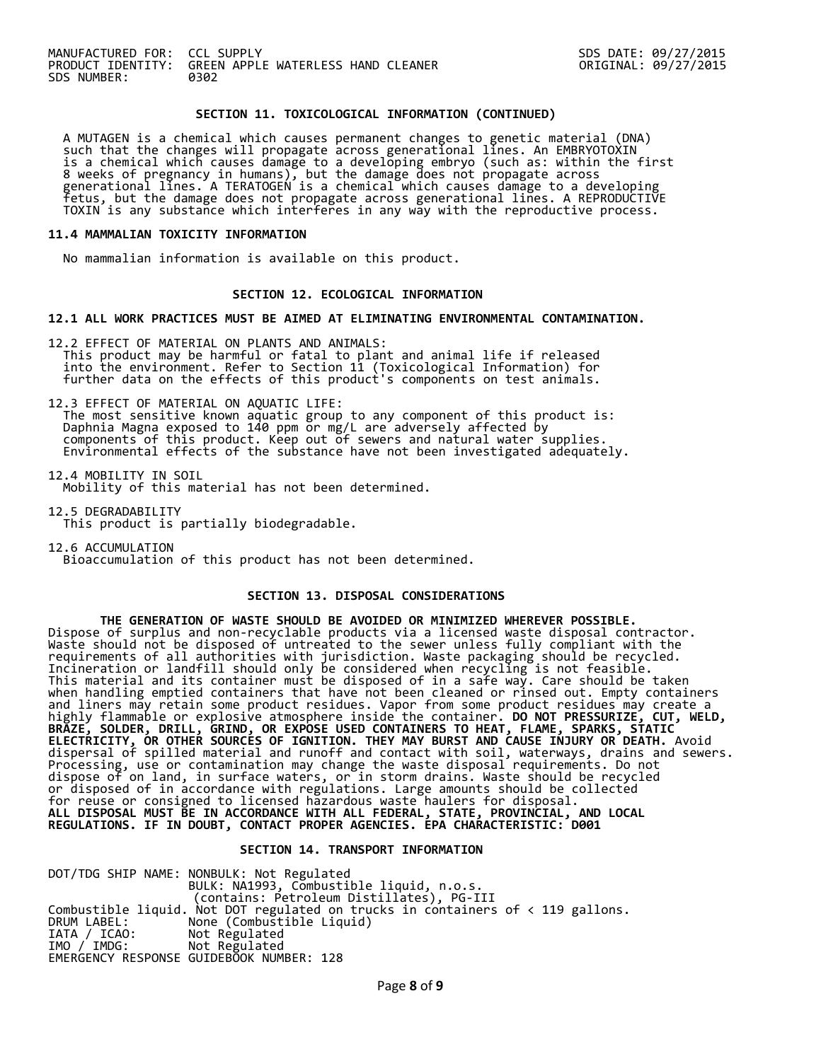#### **SECTION 11. TOXICOLOGICAL INFORMATION (CONTINUED)**

 A MUTAGEN is a chemical which causes permanent changes to genetic material (DNA) such that the changes will propagate across generational lines. An EMBRYOTOXIN is a chemical which causes damage to a developing embryo (such as: within the first 8 weeks of pregnancy in humans), but the damage does not propagate across generational lines. A TERATOGEN is a chemical which causes damage to a developing fetus, but the damage does not propagate across generational lines. A REPRODUCTIVE TOXIN is any substance which interferes in any way with the reproductive process.

#### **11.4 MAMMALIAN TOXICITY INFORMATION**

No mammalian information is available on this product.

### **SECTION 12. ECOLOGICAL INFORMATION**

#### **12.1 ALL WORK PRACTICES MUST BE AIMED AT ELIMINATING ENVIRONMENTAL CONTAMINATION.**

12.2 EFFECT OF MATERIAL ON PLANTS AND ANIMALS: This product may be harmful or fatal to plant and animal life if released into the environment. Refer to Section 11 (Toxicological Information) for further data on the effects of this product's components on test animals.

12.3 EFFECT OF MATERIAL ON AQUATIC LIFE: The most sensitive known aquatic group to any component of this product is: Daphnia Magna exposed to 140 ppm or mg/L are adversely affected by components of this product. Keep out of sewers and natural water supplies. Environmental effects of the substance have not been investigated adequately.

12.4 MOBILITY IN SOIL Mobility of this material has not been determined.

12.5 DEGRADABILITY This product is partially biodegradable.

12.6 ACCUMULATION Bioaccumulation of this product has not been determined.

#### **SECTION 13. DISPOSAL CONSIDERATIONS**

 **THE GENERATION OF WASTE SHOULD BE AVOIDED OR MINIMIZED WHEREVER POSSIBLE.** Dispose of surplus and non-recyclable products via a licensed waste disposal contractor. Waste should not be disposed of untreated to the sewer unless fully compliant with the requirements of all authorities with jurisdiction. Waste packaging should be recycled. Incineration or landfill should only be considered when recycling is not feasible. This material and its container must be disposed of in a safe way. Care should be taken when handling emptied containers that have not been cleaned or rinsed out. Empty containers and liners may retain some product residues. Vapor from some product residues may create a highly flammable or explosive atmosphere inside the container. **DO NOT PRESSURIZE, CUT, WELD, BRAZE, SOLDER, DRILL, GRIND, OR EXPOSE USED CONTAINERS TO HEAT, FLAME, SPARKS, STATIC ELECTRICITY, OR OTHER SOURCES OF IGNITION. THEY MAY BURST AND CAUSE INJURY OR DEATH.** Avoid dispersal of spilled material and runoff and contact with soil, waterways, drains and sewers. Processing, use or contamination may change the waste disposal requirements. Do not dispose of on land, in surface waters, or in storm drains. Waste should be recycled or disposed of in accordance with regulations. Large amounts should be collected for reuse or consigned to licensed hazardous waste haulers for disposal. **ALL DISPOSAL MUST BE IN ACCORDANCE WITH ALL FEDERAL, STATE, PROVINCIAL, AND LOCAL REGULATIONS. IF IN DOUBT, CONTACT PROPER AGENCIES. EPA CHARACTERISTIC: D001** 

#### **SECTION 14. TRANSPORT INFORMATION**

DOT/TDG SHIP NAME: NONBULK: Not Regulated BULK: NA1993, Combustible liquid, n.o.s. (contains: Petroleum Distillates), PG-III Combustible liquid. Not DOT regulated on trucks in containers of < 119 gallons. DRUM LABEL: None (Combustible Liquid)<br>IATA / ICAO: Not Regulated<br>IMO / IMDG: Not Regulated IATA / ICAO: Not Regulated IMO / IMDG: Not Regulated EMERGENCY RESPONSE GUIDEBOOK NUMBER: 128